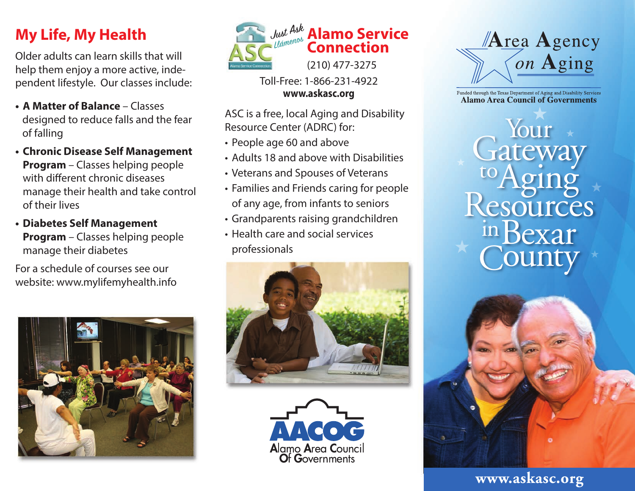# **My Life, My Health**

Older adults can learn skills that will help them enjoy a more active, independent lifestyle. Our classes include:

- **A Matter of Balance** Classes designed to reduce falls and the fear of falling
- **Chronic Disease Self Management Program** – Classes helping people with different chronic diseases manage their health and take control of their lives
- **Diabetes Self Management Program** – Classes helping people manage their diabetes

For a schedule of courses see our website: www.mylifemyhealth.info





Toll-Free: 1-866-231-4922 **www.askasc.org**

ASC is a free, local Aging and Disability Resource Center (ADRC) for:

- People age 60 and above
- Adults 18 and above with Disabilities
- Veterans and Spouses of Veterans
- Families and Friends caring for people of any age, from infants to seniors
- Grandparents raising grandchildren
- Health care and social services professionals







Funded through the Texas Department of Aging and Disability Services **Alamo Area Council of Governments** 

Your tesources in Bexar ounty



#### **www.askasc.org**